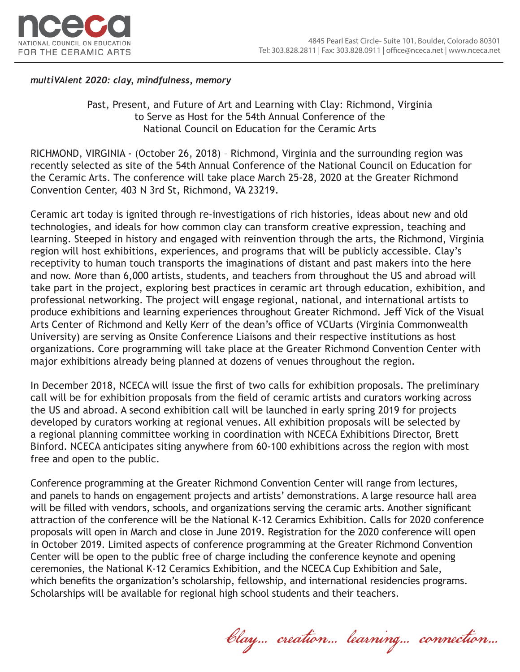

### *multiVAlent 2020: clay, mindfulness, memory*

Past, Present, and Future of Art and Learning with Clay: Richmond, Virginia to Serve as Host for the 54th Annual Conference of the National Council on Education for the Ceramic Arts

RICHMOND, VIRGINIA - (October 26, 2018) – Richmond, Virginia and the surrounding region was recently selected as site of the 54th Annual Conference of the National Council on Education for the Ceramic Arts. The conference will take place March 25-28, 2020 at the Greater Richmond Convention Center, 403 N 3rd St, Richmond, VA 23219.

Ceramic art today is ignited through re-investigations of rich histories, ideas about new and old technologies, and ideals for how common clay can transform creative expression, teaching and learning. Steeped in history and engaged with reinvention through the arts, the Richmond, Virginia region will host exhibitions, experiences, and programs that will be publicly accessible. Clay's receptivity to human touch transports the imaginations of distant and past makers into the here and now. More than 6,000 artists, students, and teachers from throughout the US and abroad will take part in the project, exploring best practices in ceramic art through education, exhibition, and professional networking. The project will engage regional, national, and international artists to produce exhibitions and learning experiences throughout Greater Richmond. Jeff Vick of the Visual Arts Center of Richmond and Kelly Kerr of the dean's office of VCUarts (Virginia Commonwealth University) are serving as Onsite Conference Liaisons and their respective institutions as host organizations. Core programming will take place at the Greater Richmond Convention Center with major exhibitions already being planned at dozens of venues throughout the region.

In December 2018, NCECA will issue the first of two calls for exhibition proposals. The preliminary call will be for exhibition proposals from the field of ceramic artists and curators working across the US and abroad. A second exhibition call will be launched in early spring 2019 for projects developed by curators working at regional venues. All exhibition proposals will be selected by a regional planning committee working in coordination with NCECA Exhibitions Director, Brett Binford. NCECA anticipates siting anywhere from 60-100 exhibitions across the region with most free and open to the public.

Conference programming at the Greater Richmond Convention Center will range from lectures, and panels to hands on engagement projects and artists' demonstrations. A large resource hall area will be filled with vendors, schools, and organizations serving the ceramic arts. Another significant attraction of the conference will be the National K-12 Ceramics Exhibition. Calls for 2020 conference proposals will open in March and close in June 2019. Registration for the 2020 conference will open in October 2019. Limited aspects of conference programming at the Greater Richmond Convention Center will be open to the public free of charge including the conference keynote and opening ceremonies, the National K-12 Ceramics Exhibition, and the NCECA Cup Exhibition and Sale, which benefits the organization's scholarship, fellowship, and international residencies programs. Scholarships will be available for regional high school students and their teachers.

Clay… creation… learning… connection…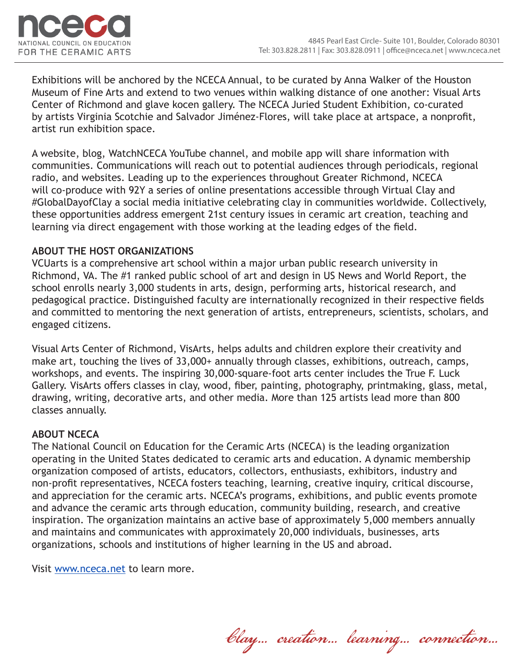

Exhibitions will be anchored by the NCECA Annual, to be curated by Anna Walker of the Houston Museum of Fine Arts and extend to two venues within walking distance of one another: Visual Arts Center of Richmond and glave kocen gallery. The NCECA Juried Student Exhibition, co-curated by artists Virginia Scotchie and Salvador Jiménez-Flores, will take place at artspace, a nonprofit, artist run exhibition space.

A website, blog, WatchNCECA YouTube channel, and mobile app will share information with communities. Communications will reach out to potential audiences through periodicals, regional radio, and websites. Leading up to the experiences throughout Greater Richmond, NCECA will co-produce with 92Y a series of online presentations accessible through Virtual Clay and #GlobalDayofClay a social media initiative celebrating clay in communities worldwide. Collectively, these opportunities address emergent 21st century issues in ceramic art creation, teaching and learning via direct engagement with those working at the leading edges of the field.

# **ABOUT THE HOST ORGANIZATIONS**

VCUarts is a comprehensive art school within a major urban public research university in Richmond, VA. The #1 ranked public school of art and design in US News and World Report, the school enrolls nearly 3,000 students in arts, design, performing arts, historical research, and pedagogical practice. Distinguished faculty are internationally recognized in their respective fields and committed to mentoring the next generation of artists, entrepreneurs, scientists, scholars, and engaged citizens.

Visual Arts Center of Richmond, VisArts, helps adults and children explore their creativity and make art, touching the lives of 33,000+ annually through classes, exhibitions, outreach, camps, workshops, and events. The inspiring 30,000-square-foot arts center includes the True F. Luck Gallery. VisArts offers classes in clay, wood, fiber, painting, photography, printmaking, glass, metal, drawing, writing, decorative arts, and other media. More than 125 artists lead more than 800 classes annually.

# **ABOUT NCECA**

The National Council on Education for the Ceramic Arts (NCECA) is the leading organization operating in the United States dedicated to ceramic arts and education. A dynamic membership organization composed of artists, educators, collectors, enthusiasts, exhibitors, industry and non-profit representatives, NCECA fosters teaching, learning, creative inquiry, critical discourse, and appreciation for the ceramic arts. NCECA's programs, exhibitions, and public events promote and advance the ceramic arts through education, community building, research, and creative inspiration. The organization maintains an active base of approximately 5,000 members annually and maintains and communicates with approximately 20,000 individuals, businesses, arts organizations, schools and institutions of higher learning in the US and abroad.

Visit www.nceca.net to learn more.

Clay… creation… learning… connection…